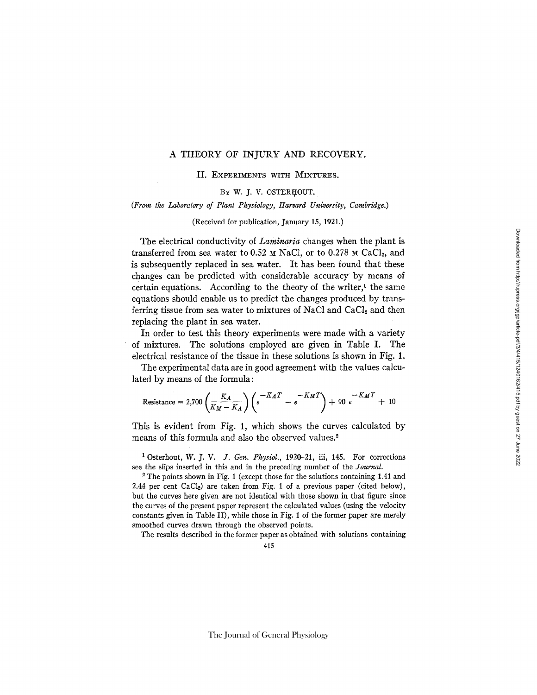## A THEORY OF INJURY AND RECOVERY,

II. EXPERIMENTS WITH MIXTURES.

BY W. J. V. OSTERHOUT.

*(From the Laboratory of Plant Physiology, Harvard University, Cambridge.)* 

(Received for publication, January 15, 1921.)

The electrical conductivity of *Laminaria* changes when the plant is transferred from sea water to 0.52  $\mu$  NaCl, or to 0.278  $\mu$  CaCl<sub>2</sub>, and is subsequently replaced in sea water. It has been found that these changes can be predicted with considerable accuracy by means of certain equations. According to the theory of the writer, $<sup>1</sup>$  the same</sup> equations should enable us to predict the changes produced by transferring tissue from sea water to mixtures of NaCl and  $CaCl<sub>2</sub>$  and then replacing the plant in sea water.

In order to test this theory experiments were made with a variety of mixtures. The solutions employed are given in Table I. The electrical resistance of the tissue in these solutions is shown in Fig. I.

The experimental data are in good agreement with the values calculated by means of the formula:

Resistance = 2,700 
$$
\left(\frac{K_A}{K_M - K_A}\right) \left(e^{-K_A T} - e^{-K_M T}\right) + 90 e^{-K_M T} + 10
$$

This is evident from Fig. 1, which shows the curves calculated by means of this formula and also the observed values.<sup>2</sup>

<sup>1</sup> Osterhout, *W. J. V. J. Gen. Physiol.*, 1920-21, iii, 145. For corrections see the slips inserted in this and in the preceding number of the *Journal.* 

2 The points shown in Fig. 1 (except those for the solutions containing 1.41 and 2.44 per cent  $CaCl<sub>2</sub>$ ) are taken from Fig. 1 of a previous paper (cited below), but the curves here given are not identical with those shown in that figure since the curves of the present paper represent the calculated values (using the velocity constants given in Table II), while those in Fig. 1 of the former paper are merely smoothed curves drawn through the observed points.

The results described in the former paper as obtained with solutions containing

415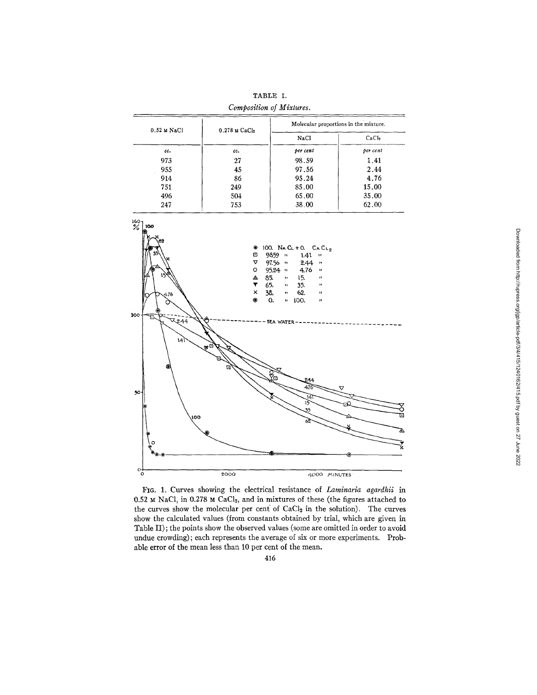|                       | Composition of Mixtures.    |                                       |                   |  |
|-----------------------|-----------------------------|---------------------------------------|-------------------|--|
| $0.52 \text{ M NaCl}$ | $0.278$ M CaCl <sub>2</sub> | Molecular proportions in the mixture. |                   |  |
|                       |                             | NaCl                                  | CaCl <sub>2</sub> |  |
| cc.                   | cc.                         | per cent                              | per cent          |  |
| 973                   | 27                          | 98.59                                 | 1.41              |  |
| 955                   | 45                          | 97.56                                 | 2.44              |  |
| 914                   | 86                          | 95.24                                 | 4.76              |  |
| 751                   | 249                         | 85.00                                 | 15.00             |  |
| 496                   | 504                         | 65.00                                 | 35.00             |  |
| 247                   | 753                         | 38.00                                 | 62.00             |  |

TABLE I.



FIG. 1. Curves showing the electrical resistance of *Laminaria agardhii* in 0.52  $\times$  NaCl, in 0.278  $\times$  CaCl<sub>2</sub>, and in mixtures of these (the figures attached to the curves show the molecular per cent of CaCl<sub>2</sub> in the solution). The curves show the calculated values (from constants obtained by trial, which are given in Table II); the points show the observed values (some are omitted in order to avoid undue crowding) ; each represents the average of six or more experiments. Probable error of the mean less than 10 per cent of the mean.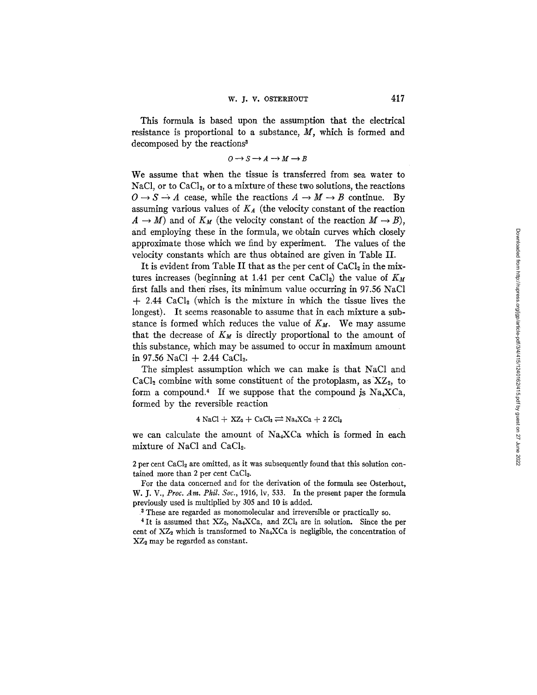This formula is based upon the assumption that the electrical resistance is proportional to a substance,  $M$ , which is formed and decomposed by the reactions<sup>3</sup>

$$
O\longrightarrow S\longrightarrow A\longrightarrow M\longrightarrow B
$$

We assume that when the tissue is transferred from sea water to NaCl, or to CaCl<sub>2</sub>, or to a mixture of these two solutions, the reactions  $0 \to S \to A$  cease, while the reactions  $A \to M \to B$  continue. By assuming various values of  $K_A$  (the velocity constant of the reaction  $A \to M$ ) and of  $K_M$  (the velocity constant of the reaction  $M \to B$ ), and employing these in the formula, we obtain curves which closely approximate those which we find by experiment. The values of the velocity constants which are thus obtained are given in Table II.

It is evident from Table II that as the per cent of  $CaCl<sub>2</sub>$  in the mixtures increases (beginning at 1.41 per cent CaCl<sub>2</sub>) the value of  $K_M$ first falls and theri rises, its minimum value occurring in *97.55* NaC1  $+$  2.44 CaCl<sub>2</sub> (which is the mixture in which the tissue lives the longest). It seems reasonable to assume that in each mixture a substance is formed which reduces the value of  $K_M$ . We may assume that the decrease of  $K_M$  is directly proportional to the amount of this substance, which may be assumed to occur in maximum amount in 97.56 NaCl  $+ 2.44$  CaCl<sub>2</sub>.

The simplest assumption which we can make is that NaCI and  $CaCl<sub>2</sub>$  combine with some constituent of the protoplasm, as  $XZ<sub>2</sub>$ , to form a compound.<sup>4</sup> If we suppose that the compound is  $Na<sub>4</sub>XCa$ , formed by the reversible reaction

## $4$  NaCl + XZ<sub>2</sub> + CaCl<sub>2</sub>  $\rightleftharpoons$  Na<sub>4</sub>XCa + 2 ZCl<sub>3</sub>

we can calculate the amount of Na4XCa which is formed in each mixture of NaCl and CaCl<sub>2</sub>.

 $2$  per cent CaCl<sub>2</sub> are omitted, as it was subsequently found that this solution contained more than 2 per cent CaCl<sub>2</sub>.

For the data concerned and for the derivation of the formula see Osterhout, *W. J. V., Proc. Am. Phil. Soc.,* 1915, lv, 533. In the present paper the formula previously used is multiplied by 305 and 10 is added.

3 These are regarded as monomolecular and irreversible or practically so.

 $4$  It is assumed that  $XZ_2$ , Na<sub>4</sub>XCa, and ZCl<sub>3</sub> are in solution. Since the per cent of  $XZ_2$  which is transformed to Na<sub>4</sub>XCa is negligible, the concentration of XZ<sub>2</sub> may be regarded as constant.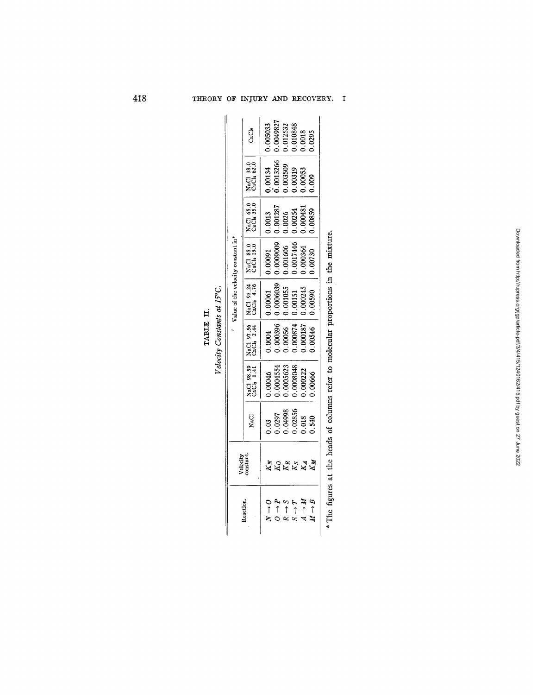|            | $15^{\circ}$ C. |  |
|------------|-----------------|--|
| Ë<br>TABLE | Constants at 1  |  |
|            | elocity         |  |

| $\tilde{r}$    |
|----------------|
|                |
|                |
|                |
| ţ              |
|                |
|                |
| į              |
|                |
|                |
|                |
| <b>Cast Co</b> |
| ţ              |
|                |
| ī              |
|                |
|                |
|                |
| alocato        |
|                |
|                |

|                                    | CaCl <sub>2</sub>                    | .004982<br>0.005033<br>$\begin{array}{c} 0.012532 \ 0.0048 \ 0.0018 \ 0.0295 \end{array}$        |
|------------------------------------|--------------------------------------|--------------------------------------------------------------------------------------------------|
| Value of the velocity constant in* | ಂ<br>೫೪<br>ៈ<br>ប្តី<br>ភីក          | 0.00134<br>0.0013266<br>.003509<br>0.00319<br>0.00053<br>0.009                                   |
|                                    | NaCl 65.0<br>CaCl 35.0               | 0.000481<br>$\begin{array}{c} 0.0013\ 0.001287\ 0.0026\ 0.00254 \end{array}$<br>0.00859          |
|                                    | NaCl 85.0<br>CaCl, 15.0              | 0000009<br>$\begin{array}{c} 0.001606 \\ 0.0017446 \\ 0.00364 \\ 0.00364 \end{array}$<br>1,00091 |
|                                    | NaCl 95.24<br>CaCl <sub>2</sub> 4.76 | $\begin{array}{c} 0.0006039 \\ 0.001055 \\ 0.00151 \\ 0.00245 \end{array}$<br>.00061<br>0.00590  |
|                                    | NaCl 97.56<br>CaCl 2.44              | $0.0004$<br>$0.000396$<br>$0.00056$<br>$0.000874$<br>$0.000874$<br>$0.00187$                     |
|                                    | 98.59<br>1.41<br>្អូភ្លឺ<br>ខ្លឹ     | 1.0008048<br>0.00046<br>0.0004554<br>0005623<br>0.000222<br>1.00666                              |
|                                    | NaCl                                 | $\begin{array}{c} 0.03 \ 0.0297 \ 0.04998 \ 0.0103356 \ 0.013356 \ 0.013 \ 0.013 \end{array}$    |
|                                    | /elocity<br>onstant.                 |                                                                                                  |
|                                    | Peaction.                            | $\frac{1}{2}$<br>$\rightarrow B$<br>$\frac{1}{4}$                                                |

o)

a.

o) **"E** 

O

¢)

t~0 t=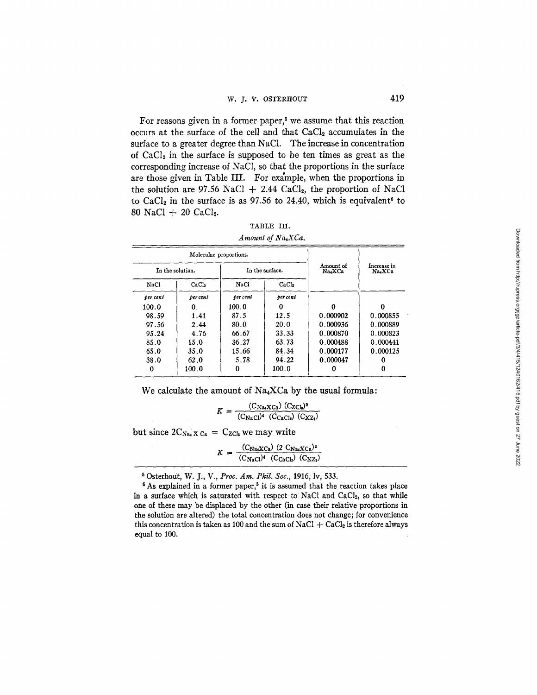For reasons given in a former paper,<sup> $5$ </sup> we assume that this reaction occurs at the surface of the cell and that  $CaCl<sub>2</sub>$  accumulates in the surface to a greater degree than NaCI. The increase in concentration of  $CaCl<sub>2</sub>$  in the surface is supposed to be ten times as great as the corresponding increase of NaC1, so that the proportions in the surface are those given in Table III. For example, when the proportions in the solution are 97.56 NaCl  $+$  2.44 CaCl<sub>2</sub>, the proportion of NaCl to CaCl<sub>2</sub> in the surface is as 97.56 to 24.40, which is equivalent<sup>6</sup> to 80 NaCI + 20 CaC12.

| TABLE III.       |  |
|------------------|--|
| Amount of Na.XCa |  |

|          |                   | Molecular proportions. |                   |                    |                       |
|----------|-------------------|------------------------|-------------------|--------------------|-----------------------|
|          | In the solution.  | In the surface.        |                   | Amount of<br>NaxCa | Increase in<br>Na4XCa |
| NaCl     | CaCl <sub>2</sub> | NaCl                   | CaCl <sub>2</sub> |                    |                       |
| per cent | per cent          | per cent               | per cent          |                    |                       |
| 100.0    | 0                 | 100.0                  | 0                 |                    |                       |
| 98.59    | 1.41              | 87.5                   | 12.5              | 0.000902           | 0.000855              |
| 97.56    | 2.44              | 80.0                   | 20.0              | 0.000936           | 0.000889              |
| 95.24    | 4.76              | 66.67                  | 33.33             | 0.000870           | 0.000823              |
| 85.0     | 15.0              | 36.27                  | 63.73             | 0.000488           | 0.000441              |
| 65.0     | 35.0              | 15.66                  | 84.34             | 0.000177           | 0.000125              |
| 38.0     | 62.0              | 5.78                   | 94.22             | 0.000047           |                       |
|          | 100.0             | 0                      | 100.0             |                    |                       |

We calculate the amount of  $Na<sub>4</sub>XCa$  by the usual formula:

 $K = \frac{(C_{\text{NaXCa}}) (C_{\text{ZCl}_2})^2}{(C_{\text{NaCl}})^4 (C_{\text{CaCl}_2}) (C_{\text{XZ}_2})}$ 

but since  $2C_{Na} \times c_a = C_{ZCl}$ , we may write

 $K = \frac{(C_{\text{NaXCa}}) (2 \text{ C}_{\text{NaXCa}})^2}{(C_{\text{NaCl}})^4 (C_{\text{CaCl}_2}) (C_{\text{XZ}_2})}$ 

Osterhout, W. J., V., *Proc. Am. Phil. Soc.,* 1916, lv, 533.

 $6$ As explained in a former paper,<sup>5</sup> it is assumed that the reaction takes place in a surface which is saturated with respect to NaCl and CaCl<sub>2</sub>, so that while one of these may be displaced by the other (in case their relative proportions in the solution are altered) the total concentration does not change; for convenience this concentration is taken as 100 and the sum of NaCl  $+$  CaCl<sub>2</sub> is therefore always equal to 100.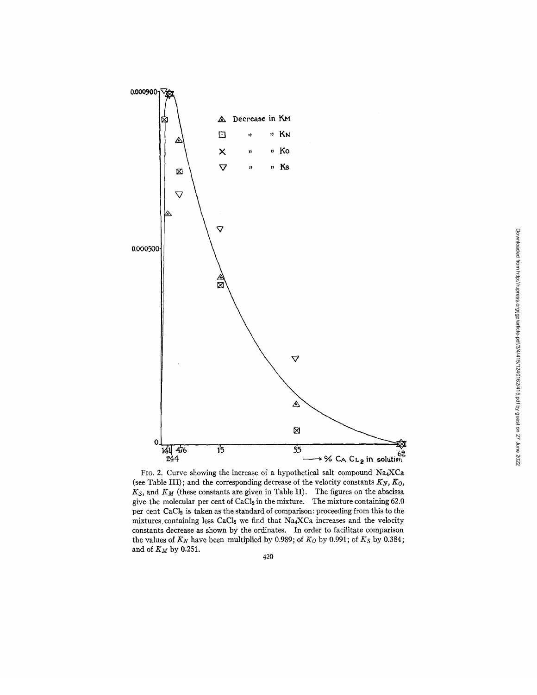

FIG. 2. Curve showing the increase of a hypothetical salt compound  $Na_4XCa$ (see Table III); and the corresponding decrease of the velocity constants  $K_N$ ,  $K_O$ ,  $K_S$ , and  $K_M$  (these constants are given in Table II). The figures on the abscissa give the molecular per cent of  $CaCl<sub>2</sub>$  in the mixture. The mixture containing 62.0 per cent CaCl<sub>2</sub> is taken as the standard of comparison: proceeding from this to the mixtures containing less CaCl<sub>2</sub> we find that  $Na_4XCa$  increases and the velocity constants decrease as shown by the ordinates. In order to facilitate comparison the values of  $K_N$  have been multiplied by 0.989; of  $K_O$  by 0.991; of  $K_S$  by 0.384; and of *KM* by 0.251.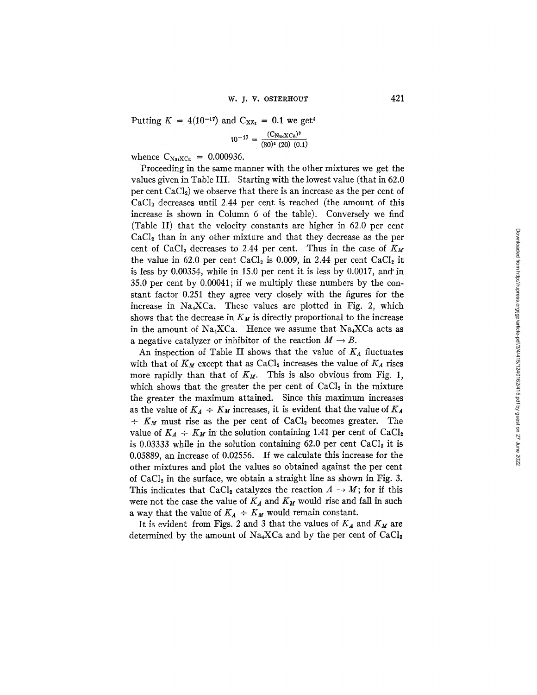Putting  $K = 4(10^{-17})$  and  $C_{XZ_2} = 0.1$  we get<sup>4</sup>

$$
10^{-17} = \frac{(C_{\text{Na4}X\text{Ca}})^3}{(80)^4 (20) (0.1)}
$$

whence  $C_{Na_4XCa} = 0.000936$ .

Proceeding in the same manner with the other mixtures we get the values given in Table III. Starting with the lowest value (that in 62.0 per cent  $CaCl<sub>2</sub>$ ) we observe that there is an increase as the per cent of  $CaCl<sub>2</sub>$  decreases until 2.44 per cent is reached (the amount of this increase is shown in Column 6 of the table). Conversely we find (Table II) that the velocity constants are higher in 62.0 per cent  $CaCl<sub>2</sub>$  than in any other mixture and that they decrease as the per cent of CaCl<sub>2</sub> decreases to 2.44 per cent. Thus in the case of  $K_M$ the value in 62.0 per cent CaCl<sub>2</sub> is 0.009, in 2.44 per cent CaCl<sub>2</sub> it is less by 0.00354, while in 15.0 per cent it is less by 0.0017, and'in 35.0 per cent by 0.00041; if we multiply these numbers by the constant factor 0.251 they agree very closely with the figures for the increase in Na4XCa. These values are plotted in Fig. 2, which shows that the decrease in  $K_M$  is directly proportional to the increase in the amount of Na<sub>4</sub>XCa. Hence we assume that Na<sub>4</sub>XCa acts as a negative catalyzer or inhibitor of the reaction  $M \to B$ .

An inspection of Table II shows that the value of  $K_A$  fluctuates with that of  $K_M$  except that as  $CaCl<sub>2</sub>$  increases the value of  $K_A$  rises more rapidly than that of  $K_M$ . This is also obvious from Fig. 1, which shows that the greater the per cent of  $CaCl<sub>2</sub>$  in the mixture the greater the maximum attained. Since this maximum increases as the value of  $K_A \div K_M$  increases, it is evident that the value of  $K_A$  $\div$  K<sub>M</sub> must rise as the per cent of CaCl<sub>2</sub> becomes greater. The value of  $K_A \div K_M$  in the solution containing 1.41 per cent of CaCl<sub>2</sub> is 0.03333 while in the solution containing 62.0 per cent  $CaCl<sub>2</sub>$  it is 0.05889, an increase of 0.02556. If we calculate this increase for the other mixtures and plot the values so obtained against the per cent of  $CaCl<sub>2</sub>$  in the surface, we obtain a straight line as shown in Fig. 3. This indicates that CaCl<sub>2</sub> catalyzes the reaction  $A \rightarrow M$ ; for if this were not the case the value of  $K_A$  and  $K_M$  would rise and fall in such a way that the value of  $K_A \div K_M$  would remain constant.

It is evident from Figs. 2 and 3 that the values of  $K_A$  and  $K_M$  are determined by the amount of Na<sub>4</sub>XCa and by the per cent of CaCl<sub>2</sub>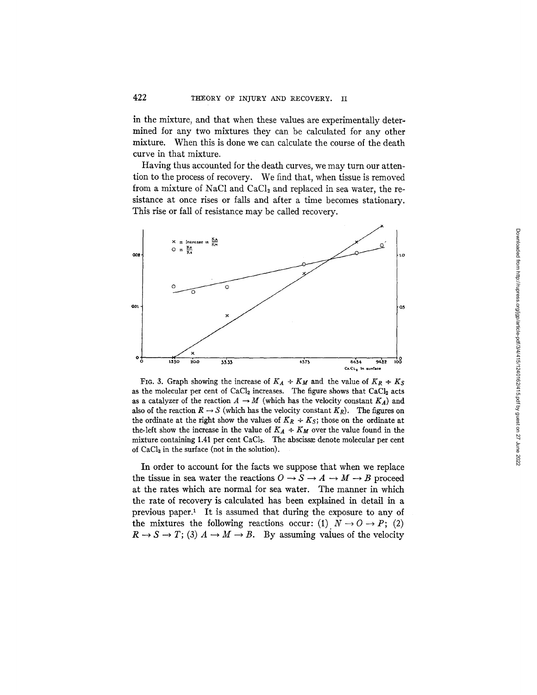in the mixture, and that when these values are experimentally determined for any two mixtures they can be calculated for any other mixture. When this is done we can calculate the course of the death curve in that mixture.

Having thus accounted for the death curves, we may turn our attention to the process of recovery. We find that, when tissue is removed from a mixture of NaCl and  $CaCl<sub>2</sub>$  and replaced in sea water, the resistance at once rises or falls and after a time becomes stationary. This rise or fall of resistance may be called recovery.



FIG. 3. Graph showing the increase of  $K_A + K_M$  and the value of  $K_R + K_S$ as the molecular per cent of  $CaCl<sub>2</sub>$  increases. The figure shows that  $CaCl<sub>2</sub>$  acts as a catalyzer of the reaction  $A \to M$  (which has the velocity constant  $K_A$ ) and also of the reaction  $R \to S$  (which has the velocity constant  $K_R$ ). The figures on the ordinate at the right show the values of  $K_R + K_S$ ; those on the ordinate at the-left show the increase in the value of  $K_A \div K_M$  over the value found in the mixture containing 1.41 per cent CaCl<sub>2</sub>. The abscissæ denote molecular per cent of CaC12 in the surface (not in the solution).

In order to account for the facts we suppose that when we replace the tissue in sea water the reactions  $O \rightarrow S \rightarrow A \rightarrow M \rightarrow B$  proceed at the rates which are normal for sea water. The manner in which the rate of recovery is calculated has been explained in detail in a previous paper.<sup>1</sup> It is assumed that during the exposure to any of the mixtures the following reactions occur: (1)  $N \rightarrow O \rightarrow P$ ; (2)  $R \to S \to T$ ; (3)  $A \to M \to B$ . By assuming values of the velocity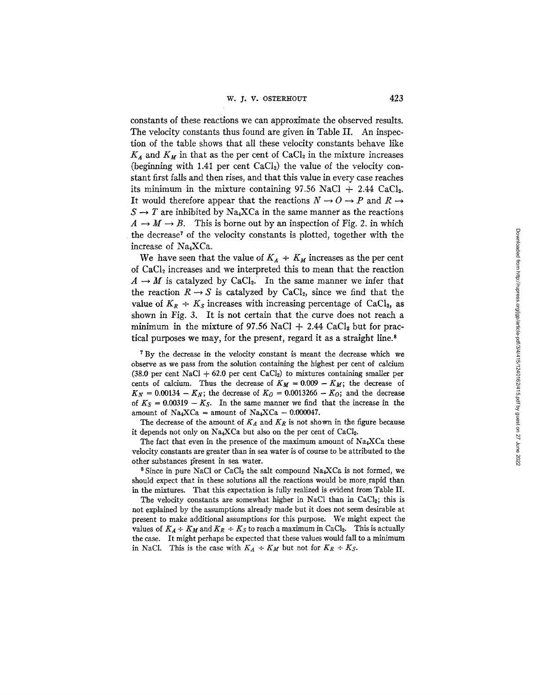constants of these reactions we can approximate the observed results. The velocity constants thus found are given in Table II. An inspection of the table shows that all these velocity constants behave like  $K_A$  and  $K_M$  in that as the per cent of CaCl<sub>2</sub> in the mixture increases (beginning with 1.41 per cent  $CaCl<sub>2</sub>$ ) the value of the velocity constant first falls and then rises, and that this value in every case reaches its minimum in the mixture containing  $97.56$  NaCl + 2.44 CaCl<sub>2</sub>. It would therefore appear that the reactions  $N \rightarrow O \rightarrow P$  and  $R \rightarrow$  $S \rightarrow T$  are inhibited by Na<sub>4</sub>XCa in the same manner as the reactions  $A \rightarrow M \rightarrow B$ . This is borne out by an inspection of Fig. 2. in which the decrease<sup>7</sup> of the velocity constants is plotted, together with the increase of Na4XCa.

We have seen that the value of  $K_A \div K_M$  increases as the per cent of CaC12 increases and we interpreted this to mean that the reaction  $A \rightarrow M$  is catalyzed by CaCl<sub>2</sub>. In the same manner we infer that the reaction  $R \rightarrow S$  is catalyzed by CaCl<sub>2</sub>, since we find that the value of  $K_R \div K_S$  increases with increasing percentage of CaCl<sub>2</sub>, as shown in Fig. 3. It is not certain that the curve does not reach a minimum in the mixture of 97.56 NaCl  $+$  2.44 CaCl<sub>2</sub> but for practical purposes we may, for the present, regard it as a straight line. 8

<sup>7</sup> By the decrease in the velocity constant is meant the decrease which we observe as we pass from the solution containing the highest per cent of calcium (38.0 per cent NaCl + 62.0 per cent CaCl<sub>2</sub>) to mixtures containing smaller per cents of calcium. Thus the decrease of  $K_M = 0.009 - K_M$ ; the decrease of  $K_N = 0.00134 - K_N$ ; the decrease of  $K_O = 0.0013266 - K_O$ ; and the decrease of  $K_S = 0.00319 - K_S$ . In the same manner we find that the increase in the amount of Na<sub>4</sub>XCa = amount of Na<sub>4</sub>XCa - 0.000047.

The decrease of the amount of  $K_A$  and  $K_R$  is not shown in the figure because it depends not only on  $Na_4XCa$  but also on the per cent of  $CaCl<sub>2</sub>$ .

The fact that even in the presence of the maximum amount of  $Na_4XCa$  these velocity constants are greater than in sea water is of course to be attributed to the other substances present in sea water.

<sup>8</sup> Since in pure NaCl or CaCl<sub>2</sub> the salt compound Na<sub>4</sub>XCa is not formed, we should expect that in these solutions all the reactions would be more rapid than in the mixtures. That this expectation is fully realized is evident from Table II.

The velocity constants are somewhat higher in NaCl than in CaCl<sub>2</sub>; this is not explained by the assumptions already made but it does not seem desirable at present to make additional assumptions for this purpose. We might expect the values of  $K_A \div K_M$  and  $K_R \div K_S$  to reach a maximum in CaCl<sub>2</sub>. This is actually the case. It might perhaps be expected that these values would fall to a minimum in NaCl. This is the case with  $K_A + K_M$  but not for  $K_R + K_S$ .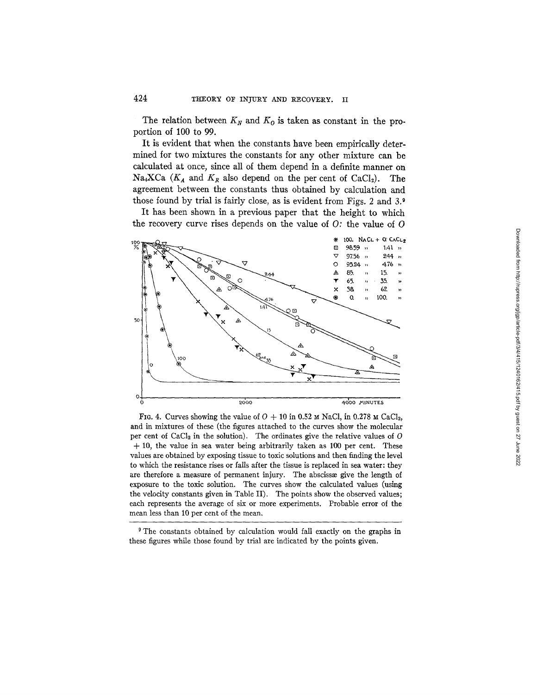The relation between  $K_N$  and  $K_O$  is taken as constant in the proportion of 100 to 99.

It is evident that when the constants have been empirically determined for two mixtures the constants for any other mixture can be calculated at once, since all of them depend in a definite manner on Na<sub>4</sub>XCa  $(K_A$  and  $K_R$  also depend on the per cent of CaCl<sub>2</sub>). The agreement between the constants thus obtained by calculation and those found by trial is fairly close, as is evident from Figs. 2 and 3.<sup>9</sup>

It has been shown in a previous paper that the height to which the recovery curve rises depends on the value of *O:* the value of O



FIG. 4. Curves showing the value of  $O + 10$  in 0.52  $\text{M}$  NaCl, in 0.278  $\text{M}$  CaCl<sub>2</sub>, and in mixtures of these (the figures attached to the curves show the molecular per cent of CaCl<sub>2</sub> in the solution). The ordinates give the relative values of  $O$  $+ 10$ , the value in sea water being arbitrarily taken as 100 per cent. These values are obtained by exposing tissue to toxic solutions and then finding the level to which the resistance rises or falls after the tissue is replaced in sea water: they are therefore a measure of permanent injury. The abscisse give the length of exposure to the toxic solution. The curves show the calculated values (using the velocity constants given in Table II). The points show the observed values; each represents the average of six or more experiments. Probable error of the mean less than 10 per cent of the mean.

<sup>&</sup>lt;sup>9</sup> The constants obtained by calculation would fall exactly on the graphs in these figures while those found by trial are indicated by the points given.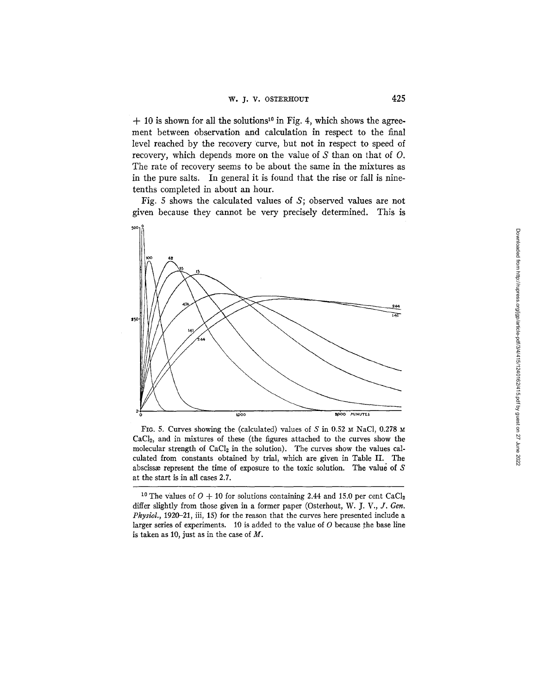$+ 10$  is shown for all the solutions<sup>10</sup> in Fig. 4, which shows the agreement between observation and calculation in respect to the final level reached by the recovery curve, but not in respect to speed of recovery, which depends more on the value of S than on that of O. The rate of recovery seems to be about the same in the mixtures as in the pure salts. In general it is found that the rise or fall is ninetenths completed in about an hour.

Fig. 5 shows the calculated values of S; observed values are not given because they cannot be very precisely determined. This is



FIG. 5. Curves showing the (calculated) values of S in 0.52  $\text{M}$  NaCl, 0.278 M CaC12, and in mixtures of these (the figures attached to the curves show the molecular strength of  $CaCl<sub>2</sub>$  in the solution). The curves show the values calculated from constants obtained by trial, which are given in Table II. The abscissæ represent the time of exposure to the toxic solution. The value of  $S$ at the start is in all cases 2.7.

<sup>&</sup>lt;sup>10</sup> The values of  $O + 10$  for solutions containing 2.44 and 15.0 per cent CaCl<sub>2</sub> differ slightly from those given in a former paper (Osterhout, *W. J. V., J. Gen. Physiol.,* 1920-21, iii, 15) for the reason that the curves here presented include a larger series of experiments.  $10$  is added to the value of  $O$  because the base line is taken as 10, just as in the case of  $M$ .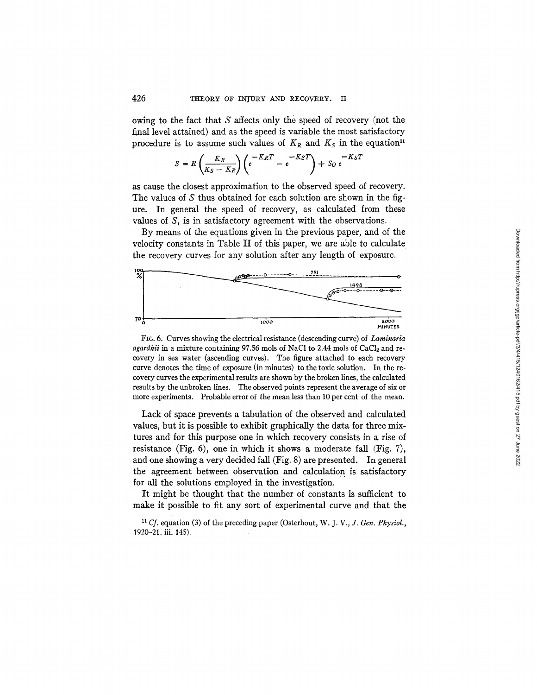owing to the fact that S affects only the speed of recovery (not the final level attained) and as the speed is variable the most satisfactory procedure is to assume such values of  $K_R$  and  $K_S$  in the equation<sup>11</sup>

$$
S = R\left(\frac{K_R}{K_S - K_R}\right)\left(e^{-K_R T} - e^{-K_S T}\right) + S_0 e^{-K_S T}
$$

as cause the closest approximation to the observed speed of recovery. The values of S thus obtained for each solution are shown in the figure. In general the speed of recovery, as calculated from these values of S, is in satisfactory agreement with the observations.

By means of the equations given in the previous paper, and of the velocity constants in Table II of this paper, we are able to calculate the recovery curves for any solution after any length of exposure.



Fro. 6. Curves showing the electrical resistance (descending curve) of *Laminaria agardhii* in a mixture containing 97.56 mols of NaCl to 2.44 mols of CaCl<sub>2</sub> and recovery in sea water (ascending curves). The figure attached to each recovery curve denotes the time of exposure (in minutes) to the toxic solution. In the recovery curves the experimental results are shown by the broken lines, the calculated results by the unbroken lines. The observed points represent the average of six or more experiments. Probable error of the mean less than 10 per cent of the mean.

Lack of space prevents a tabulation of the observed and calculated values, but it is possible to exhibit graphically the data for three mixtures and for this purpose one in which recovery consists in a rise of resistance (Fig. 6), one in which it shows a moderate fall (Fig. 7), and one showing a very decided fall (Fig. 8) are presented. In general the agreement between observation and calculation is satisfactory for all the solutions employed in the investigation.

It might be thought that the number of constants is sufficient to make it possible to fit any sort of experimental curve and that the

*11 Cf.* equation (3) of the preceding paper (Osterhout, *W. J. V., J. Gen. Physiol.,*  1920-21. iii, 145).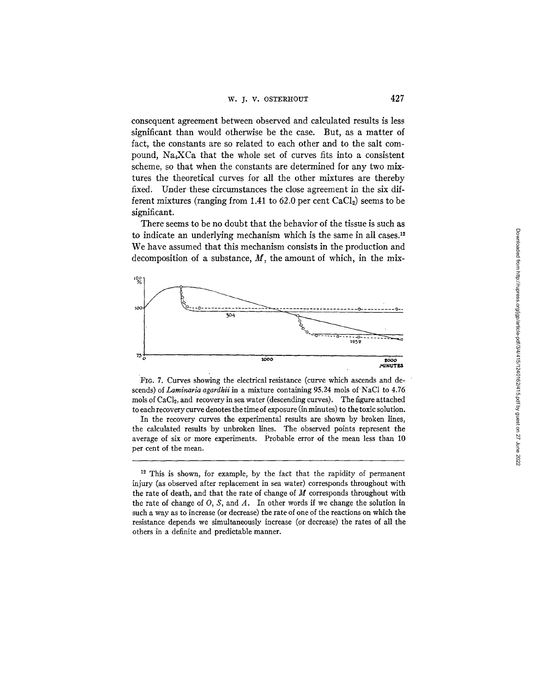consequent agreement between observed and calculated results is less significant than would otherwise be the case. But, as a matter of fact, the constants are so related to each other and to the salt compound, Na4XCa that the whole set of curves fits into a consistent scheme, so that when the constants are determined for any two mixtures the theoretical curves for all the other mixtures are thereby fixed. Under these circumstances the close agreement in the six different mixtures (ranging from 1.41 to  $62.0$  per cent  $CaCl<sub>2</sub>$ ) seems to be significant.

There seems to be no doubt that the behavior of the tissue is such as to indicate an underlying mechanism which is the same in all cases. 12 We have assumed that this mechanism consists in the production and decomposition of a substance,  $M$ , the amount of which, in the mix-



FIG. 7. Curves showing the electrical resistance (curve which ascends and descends) *of Laminaria agardhii* in a mixture containing 95.24 mols of NaC1 to 4.76 mols of CaCl<sub>2</sub>, and recovery in sea water (descending curves). The figure attached to each recovery curve denotes the time of exposure (in minutes) to the toxic solution.

In the recovery curves the experimental results are shown by broken lines, the calculated results by unbroken lines. The observed points represent the average of six or more experiments. Probable error of the mean less than 10 per cent of the mean.

<sup>&</sup>lt;sup>12</sup> This is shown, for example, by the fact that the rapidity of permanent injury (as observed after replacement in sea water) corresponds throughout with the rate of death, and that the rate of change of  $M$  corresponds throughout with the rate of change of  $O$ ,  $S$ , and  $A$ . In other words if we change the solution in such a way as to increase (or decrease) the rate of one of the reactions on which the resistance depends we simultaneously increase (or decrease) the rates of all the others in a definite and predictable manner.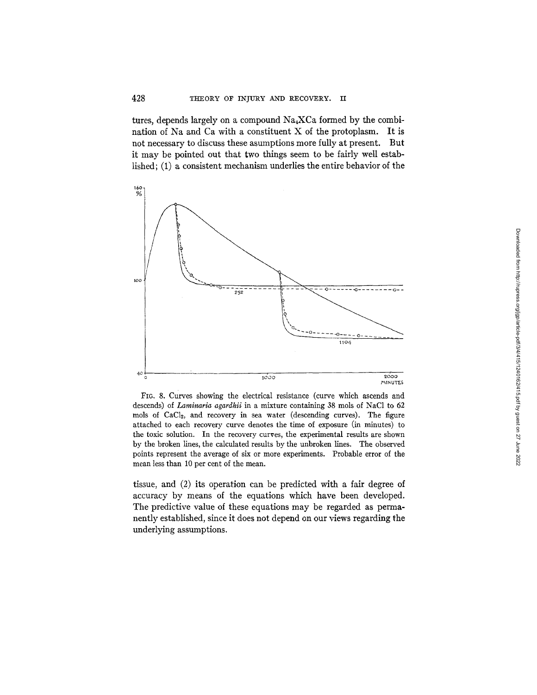tures, depends largely on a compound  $Na<sub>4</sub>XCa$  formed by the combination of Na and Ca with a constituent X of the protoplasm. It is not necessary to discuss these asumptions more fully at present. But it may be pointed out that two things seem to be fairly well established; (1) a consistent mechanism underlies the entire behavior of the



FIG. 8. Curves showing the electrical resistance (curve which ascends and descends) of *Laminaria agardhii* in a mixture containing 38 mols of NaCl to 62 mols of CaCl<sub>2</sub>, and recovery in sea water (descending curves). The figure attached to each recovery curve denotes the time of exposure (in minutes) to the toxic solution. In the recovery curves, the experimental results are shown by the broken lines, the calculated results by the unbroken lines. The observed points represent the average of six or more experiments. Probable error of the mean less than 10 per cent of the mean.

tissue, and (2) its operation can be predicted with a fair degree of accuracy by means of the equations which have been developed. The predictive value of these equations may be regarded as permanently established, since it does not depend on our views regarding the underlying assumptions.